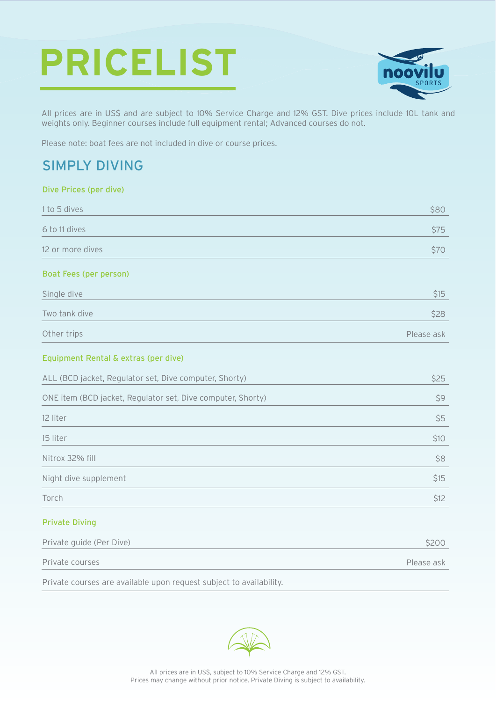# **PRICELIST**



Please ask

All prices are in US\$ and are subject to 10% Service Charge and 12% GST. Dive prices include 10L tank and weights only. Beginner courses include full equipment rental; Advanced courses do not.

Please note: boat fees are not included in dive or course prices.

## SIMPLY DIVING

#### Dive Prices (per dive)

| 1 to 5 dives                                                | \$80       |
|-------------------------------------------------------------|------------|
| 6 to 11 dives                                               | \$75       |
| 12 or more dives                                            | \$70       |
| Boat Fees (per person)                                      |            |
| Single dive                                                 | \$15       |
| Two tank dive                                               | \$28       |
| Other trips                                                 | Please ask |
| Equipment Rental & extras (per dive)                        |            |
| ALL (BCD jacket, Regulator set, Dive computer, Shorty)      | \$25       |
| ONE item (BCD jacket, Regulator set, Dive computer, Shorty) | \$9        |
| 12 liter                                                    | \$5        |
| 15 liter                                                    | \$10       |
| Nitrox 32% fill                                             | \$8        |
| Night dive supplement                                       | \$15       |
| Torch                                                       | \$12       |
| <b>Private Diving</b>                                       |            |
| Private guide (Per Dive)                                    | \$200      |

Private courses

Private courses are available upon request subject to availability.

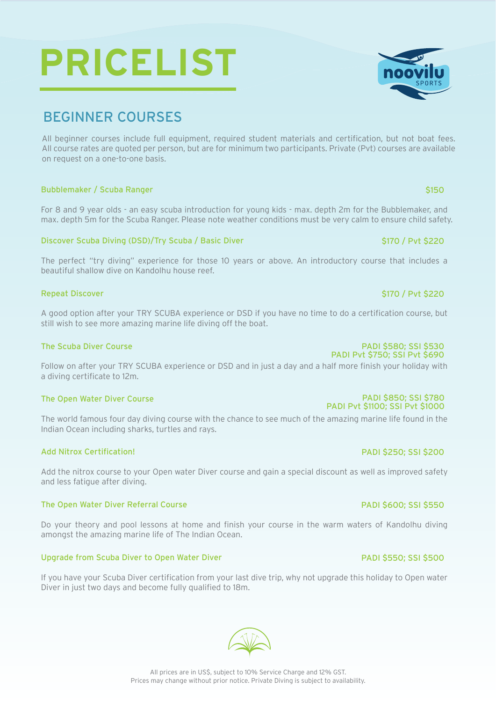# BEGINNER COURSES

All beginner courses include full equipment, required student materials and certification, but not boat fees. All course rates are quoted per person, but are for minimum two participants. Private (Pvt) courses are available on request on a one-to-one basis.

#### Bubblemaker / Scuba Ranger

For 8 and 9 year olds - an easy scuba introduction for young kids - max. depth 2m for the Bubblemaker, and max. depth 5m for the Scuba Ranger. Please note weather conditions must be very calm to ensure child safety.

#### Discover Scuba Diving (DSD)/Try Scuba / Basic Diver

The perfect "try diving" experience for those 10 years or above. An introductory course that includes a beautiful shallow dive on Kandolhu house reef.

#### Repeat Discover

A good option after your TRY SCUBA experience or DSD if you have no time to do a certification course, but still wish to see more amazing marine life diving off the boat.

#### The Scuba Diver Course

Follow on after your TRY SCUBA experience or DSD and in just a day and a half more finish your holiday with a diving certificate to 12m.

#### The Open Water Diver Course

The world famous four day diving course with the chance to see much of the amazing marine life found in the Indian Ocean including sharks, turtles and rays.

#### Add Nitrox Certification!

Add the nitrox course to your Open water Diver course and gain a special discount as well as improved safety and less fatigue after diving.

#### The Open Water Diver Referral Course

Do your theory and pool lessons at home and finish your course in the warm waters of Kandolhu diving amongst the amazing marine life of The Indian Ocean.

#### Upgrade from Scuba Diver to Open Water Diver

If you have your Scuba Diver certification from your last dive trip, why not upgrade this holiday to Open water Diver in just two days and become fully qualified to 18m.





#### PADI \$600; SSI \$550

PADI \$250; SSI \$200

#### PADI \$550; SSI \$500



# \$170 / Pvt \$220

\$170 / Pvt \$220

\$150

## PADI \$580; SSI \$530

## PADI Pvt \$750; SSI Pvt \$690

#### PADI \$850; SSI \$780 PADI Pvt \$1100; SSI Pvt \$1000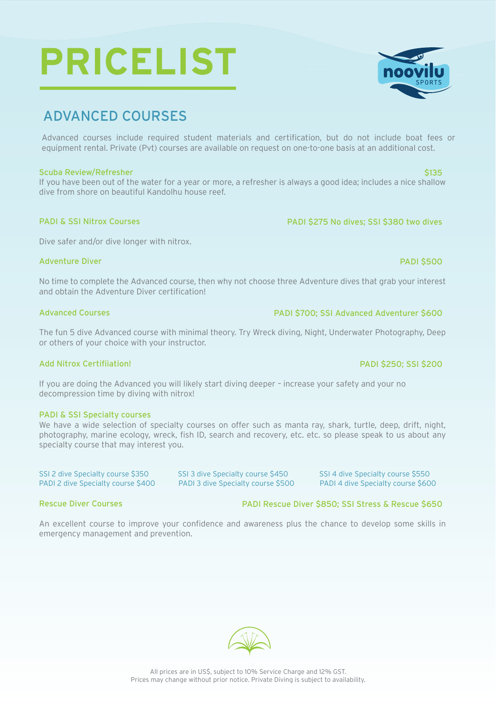# ADVANCED COURSES

Advanced courses include required student materials and certification, but do not include boat fees or equipment rental. Private (Pvt) courses are available on request on one-to-one basis at an additional cost.

#### Scuba Review/Refresher

If you have been out of the water for a year or more, a refresher is always a good idea; includes a nice shallow dive from shore on beautiful Kandolhu house reef.

#### PADI & SSI Nitrox Courses

Dive safer and/or dive longer with nitrox.

#### Adventure Diver

No time to complete the Advanced course, then why not choose three Adventure dives that grab your interest and obtain the Adventure Diver certification!

#### Advanced Courses

The fun 5 dive Advanced course with minimal theory. Try Wreck diving, Night, Underwater Photography, Deep or others of your choice with your instructor.

#### Add Nitrox Certifiiation!

If you are doing the Advanced you will likely start diving deeper – increase your safety and your no decompression time by diving with nitrox!

#### PADI & SSI Specialty courses

We have a wide selection of specialty courses on offer such as manta ray, shark, turtle, deep, drift, night, photography, marine ecology, wreck, fish ID, search and recovery, etc. etc. so please speak to us about any specialty course that may interest you.

SSI 2 dive Specialty course \$350 SSI 3 dive Specialty course \$450 SSI 4 dive Specialty course \$550 PADI 2 dive Specialty course \$400 PADI 3 dive Specialty course \$500 PADI 4 dive Specialty course \$600

#### Rescue Diver Courses

An excellent course to improve your confidence and awareness plus the chance to develop some skills in emergency management and prevention.

PADI \$275 No dives; SSI \$380 two dives

PADI \$700; SSI Advanced Adventurer \$600

### PADI \$250; SSI \$200

PADI Rescue Diver \$850; SSI Stress & Rescue \$650







## \$135

PADI \$500